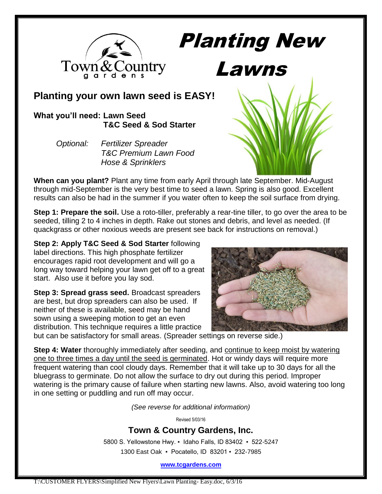

Planting New

## **Planting your own lawn seed is EASY!**

### **What you'll need: Lawn Seed T&C Seed & Sod Starter**

| Optional: | <b>Fertilizer Spreader</b>       |
|-----------|----------------------------------|
|           | <b>T&amp;C Premium Lawn Food</b> |
|           | <b>Hose &amp; Sprinklers</b>     |



**When can you plant?** Plant any time from early April through late September. Mid-August through mid-September is the very best time to seed a lawn. Spring is also good. Excellent results can also be had in the summer if you water often to keep the soil surface from drying.

**Step 1: Prepare the soil.** Use a roto-tiller, preferably a rear-tine tiller, to go over the area to be seeded, tilling 2 to 4 inches in depth. Rake out stones and debris, and level as needed. (If quackgrass or other noxious weeds are present see back for instructions on removal.)

**Step 2: Apply T&C Seed & Sod Starter** following label directions. This high phosphate fertilizer encourages rapid root development and will go a long way toward helping your lawn get off to a great start. Also use it before you lay sod.

**Step 3: Spread grass seed.** Broadcast spreaders are best, but drop spreaders can also be used. If neither of these is available, seed may be hand sown using a sweeping motion to get an even distribution. This technique requires a little practice



but can be satisfactory for small areas. (Spreader settings on reverse side.)

**Step 4: Water** thoroughly immediately after seeding, and continue to keep moist by watering one to three times a day until the seed is germinated. Hot or windy days will require more frequent watering than cool cloudy days. Remember that it will take up to 30 days for all the bluegrass to germinate. Do not allow the surface to dry out during this period. Improper watering is the primary cause of failure when starting new lawns. Also, avoid watering too long in one setting or puddling and run off may occur.

*(See reverse for additional information)*

Revised 5/03/16

## **Town & Country Gardens, Inc.**

5800 S. Yellowstone Hwy. ▪ Idaho Falls, ID 83402 ▪ 522-5247 1300 East Oak ▪ Pocatello, ID 83201 ▪ 232-7985

**[www.tcgardens.com](http://www.tcgardens.com/)**